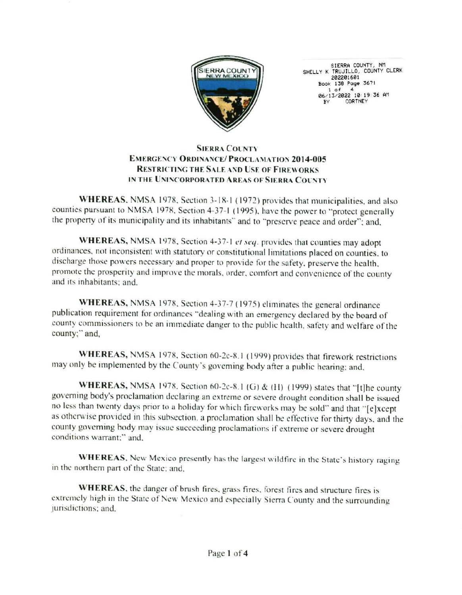

SIERRA COUNTY, NM<br>SHELLY K TRUJILLO, COUNTY CLERK 202201601 Book 138 Page 3671  $1 of$ 06/13/2022 10:19:36 AM CORTNEY

## **SIERRA COUNTY EMERGENCY ORDINANCE/ PROCLAMATION 2014-005 RESTRICTING THE SALE AND USE OF FIREWORKS** IN THE UNINCORPORATED AREAS OF SIERRA COUNTY

WHEREAS, NMSA 1978, Section 3-18-1 (1972) provides that municipalities, and also counties pursuant to NMSA 1978, Section 4-37-1 (1995), have the power to "protect generally the property of its municipality and its inhabitants" and to "preserve peace and order"; and,

WHEREAS, NMSA 1978, Section 4-37-1 et seq. provides that counties may adopt ordinances, not inconsistent with statutory or constitutional limitations placed on counties, to discharge those powers necessary and proper to provide for the safety, preserve the health, promote the prosperity and improve the morals, order, comfort and convenience of the county and its inhabitants; and,

WHEREAS, NMSA 1978, Section 4-37-7 (1975) eliminates the general ordinance publication requirement for ordinances "dealing with an emergency declared by the board of county commissioners to be an immediate danger to the public health, safety and welfare of the county;" and,

WHEREAS, NMSA 1978, Section 60-2c-8.1 (1999) provides that firework restrictions may only be implemented by the County's governing body after a public hearing; and,

WHEREAS, NMSA 1978. Section 60-2c-8.1 (G) & (H) (1999) states that "[t]he county governing body's proclamation declaring an extreme or severe drought condition shall be issued no less than twenty days prior to a holiday for which fireworks may be sold" and that "[e]xcept as otherwise provided in this subsection, a proclamation shall be effective for thirty days, and the county governing body may issue succeeding proclamations if extreme or severe drought conditions warrant:" and.

WHEREAS, New Mexico presently has the largest wildfire in the State's history raging in the northern part of the State; and,

WHEREAS, the danger of brush fires, grass fires, forest fires and structure fires is extremely high in the State of New Mexico and especially Sierra County and the surrounding jurisdictions; and,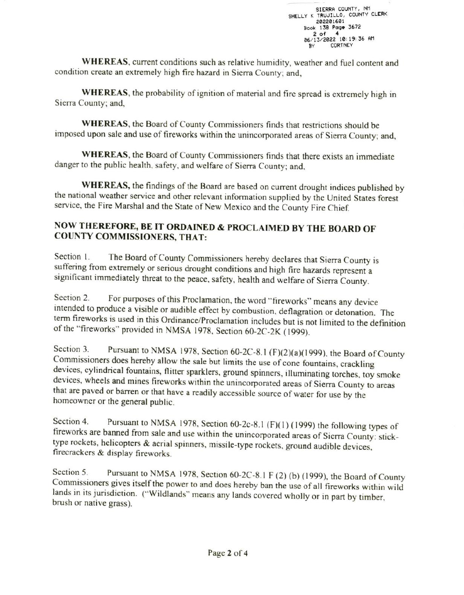WHEREAS, current conditions such as relative humidity, weather and fuel content and condition create an extremely high fire hazard in Sierra County; and,

WHEREAS, the probability of ignition of material and fire spread is extremely high in Sierra County; and,

WHEREAS, the Board of County Commissioners finds that restrictions should be imposed upon sale and use of fireworks within the unincorporated areas of Sierra County; and,

WHEREAS, the Board of County Commissioners finds that there exists an immediate danger to the public health, safety, and welfare of Sierra County; and,

WHEREAS, the findings of the Board are based on current drought indices published by the national weather service and other relevant information supplied by the United States forest service, the Fire Marshal and the State of New Mexico and the County Fire Chief.

## NOW THEREFORE, BE IT ORDAINED & PROCLAIMED BY THE BOARD OF **COUNTY COMMISSIONERS, THAT:**

Section 1 The Board of County Commissioners hereby declares that Sierra County is suffering from extremely or serious drought conditions and high fire hazards represent a significant immediately threat to the peace, safety, health and welfare of Sierra County.

Section 2. For purposes of this Proclamation, the word "fireworks" means any device intended to produce a visible or audible effect by combustion, deflagration or detonation. The term fireworks is used in this Ordinance/Proclamation includes but is not limited to the definition of the "fireworks" provided in NMSA 1978, Section 60-2C-2K (1999).

Pursuant to NMSA 1978, Section 60-2C-8.1 (F)(2)(a)(1999), the Board of County Section 3. Commissioners does hereby allow the sale but limits the use of cone fountains, crackling devices, cylindrical fountains, flitter sparklers, ground spinners, illuminating torches, toy smoke devices, wheels and mines fireworks within the unincorporated areas of Sierra County to areas that are paved or barren or that have a readily accessible source of water for use by the homeowner or the general public.

Section 4. Pursuant to NMSA 1978, Section 60-2c-8.1 (F)(1) (1999) the following types of fireworks are banned from sale and use within the unincorporated areas of Sierra County: sticktype rockets, helicopters & aerial spinners, missile-type rockets, ground audible devices, firecrackers & display fireworks.

Pursuant to NMSA 1978, Section 60-2C-8.1 F (2) (b) (1999), the Board of County Section 5. Commissioners gives itself the power to and does hereby ban the use of all fireworks within wild lands in its jurisdiction. ("Wildlands" means any lands covered wholly or in part by timber, brush or native grass).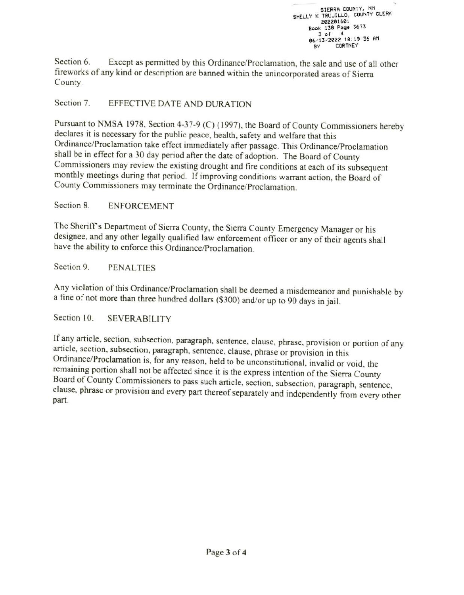SIERRA COUNTY, NM SHELLY K TRUJILLO, COUNTY CLERK 202201601 Book 138 Page 3673  $3$  of  $\overline{\mathbf{4}}$ 06/13/2022 10:19:36 AM **CORTNEY** 

Section 6. Except as permitted by this Ordinance/Proclamation, the sale and use of all other fireworks of any kind or description are banned within the unincorporated areas of Sierra County.

Section 7. EFFECTIVE DATE AND DURATION

Pursuant to NMSA 1978, Section 4-37-9 (C) (1997), the Board of County Commissioners hereby declares it is necessary for the public peace, health, safety and welfare that this Ordinance/Proclamation take effect immediately after passage. This Ordinance/Proclamation shall be in effect for a 30 day period after the date of adoption. The Board of County Commissioners may review the existing drought and fire conditions at each of its subsequent monthly meetings during that period. If improving conditions warrant action, the Board of County Commissioners may terminate the Ordinance/Proclamation.

Section 8 **ENFORCEMENT** 

The Sheriff's Department of Sierra County, the Sierra County Emergency Manager or his designee, and any other legally qualified law enforcement officer or any of their agents shall have the ability to enforce this Ordinance/Proclamation.

Section 9. **PENALTIES** 

Any violation of this Ordinance/Proclamation shall be deemed a misdemeanor and punishable by a fine of not more than three hundred dollars (\$300) and/or up to 90 days in jail.

Section 10. **SEVERABILITY** 

If any article, section, subsection, paragraph, sentence, clause, phrase, provision or portion of any article, section, subsection, paragraph, sentence, clause, phrase or provision in this Ordinance/Proclamation is, for any reason, held to be unconstitutional, invalid or void, the remaining portion shall not be affected since it is the express intention of the Sierra County Board of County Commissioners to pass such article, section, subsection, paragraph, sentence, clause, phrase or provision and every part thereof separately and independently from every other part.